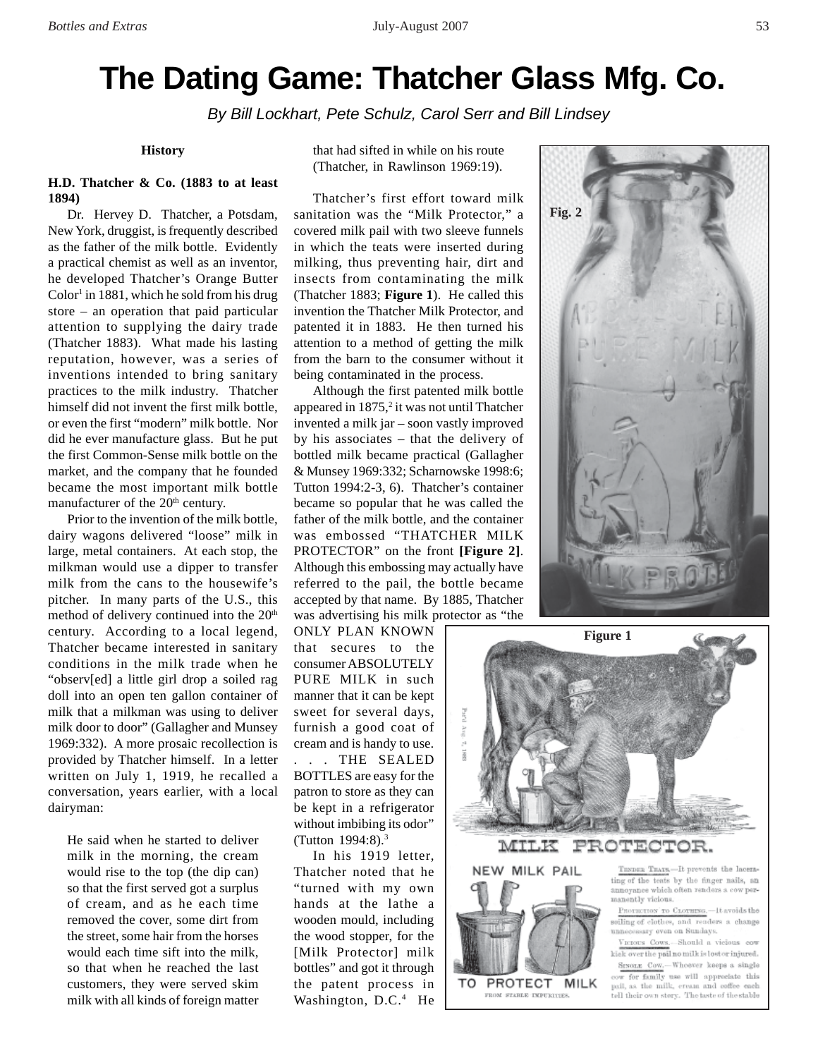# **The Dating Game: Thatcher Glass Mfg. Co.**

*By Bill Lockhart, Pete Schulz, Carol Serr and Bill Lindsey*

#### **History**

# **H.D. Thatcher & Co. (1883 to at least 1894)**

Dr. Hervey D. Thatcher, a Potsdam, New York, druggist, is frequently described as the father of the milk bottle. Evidently a practical chemist as well as an inventor, he developed Thatcher's Orange Butter  $Color<sup>1</sup>$  in 1881, which he sold from his drug store – an operation that paid particular attention to supplying the dairy trade (Thatcher 1883). What made his lasting reputation, however, was a series of inventions intended to bring sanitary practices to the milk industry. Thatcher himself did not invent the first milk bottle, or even the first "modern" milk bottle. Nor did he ever manufacture glass. But he put the first Common-Sense milk bottle on the market, and the company that he founded became the most important milk bottle manufacturer of the 20<sup>th</sup> century.

Prior to the invention of the milk bottle, dairy wagons delivered "loose" milk in large, metal containers. At each stop, the milkman would use a dipper to transfer milk from the cans to the housewife's pitcher. In many parts of the U.S., this method of delivery continued into the 20<sup>th</sup> century. According to a local legend, Thatcher became interested in sanitary conditions in the milk trade when he "observ[ed] a little girl drop a soiled rag doll into an open ten gallon container of milk that a milkman was using to deliver milk door to door" (Gallagher and Munsey 1969:332). A more prosaic recollection is provided by Thatcher himself. In a letter written on July 1, 1919, he recalled a conversation, years earlier, with a local dairyman:

He said when he started to deliver milk in the morning, the cream would rise to the top (the dip can) so that the first served got a surplus of cream, and as he each time removed the cover, some dirt from the street, some hair from the horses would each time sift into the milk, so that when he reached the last customers, they were served skim milk with all kinds of foreign matter that had sifted in while on his route (Thatcher, in Rawlinson 1969:19).

Thatcher's first effort toward milk sanitation was the "Milk Protector," a covered milk pail with two sleeve funnels in which the teats were inserted during milking, thus preventing hair, dirt and insects from contaminating the milk (Thatcher 1883; **Figure 1**). He called this invention the Thatcher Milk Protector, and patented it in 1883. He then turned his attention to a method of getting the milk from the barn to the consumer without it being contaminated in the process.

Although the first patented milk bottle appeared in 1875,<sup>2</sup> it was not until Thatcher invented a milk jar – soon vastly improved by his associates – that the delivery of bottled milk became practical (Gallagher & Munsey 1969:332; Scharnowske 1998:6; Tutton 1994:2-3, 6). Thatcher's container became so popular that he was called the father of the milk bottle, and the container was embossed "THATCHER MILK PROTECTOR" on the front **[Figure 2]**. Although this embossing may actually have referred to the pail, the bottle became accepted by that name. By 1885, Thatcher was advertising his milk protector as "the

ONLY PLAN KNOWN that secures to the consumer ABSOLUTELY PURE MILK in such manner that it can be kept sweet for several days, furnish a good coat of cream and is handy to use. . . . THE SEALED BOTTLES are easy for the patron to store as they can be kept in a refrigerator without imbibing its odor" (Tutton 1994:8).3

In his 1919 letter, Thatcher noted that he "turned with my own hands at the lathe a wooden mould, including the wood stopper, for the [Milk Protector] milk bottles" and got it through the patent process in Washington, D.C.<sup>4</sup> He



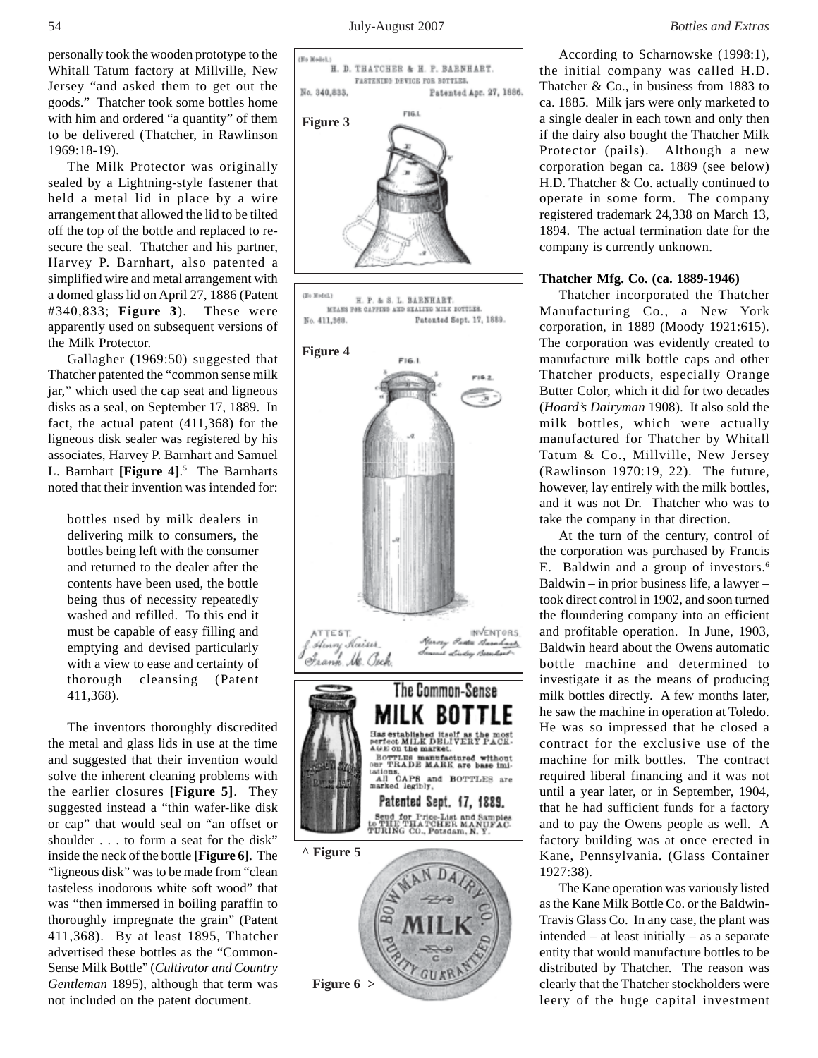personally took the wooden prototype to the Whitall Tatum factory at Millville, New Jersey "and asked them to get out the goods." Thatcher took some bottles home with him and ordered "a quantity" of them to be delivered (Thatcher, in Rawlinson 1969:18-19).

The Milk Protector was originally sealed by a Lightning-style fastener that held a metal lid in place by a wire arrangement that allowed the lid to be tilted off the top of the bottle and replaced to resecure the seal. Thatcher and his partner, Harvey P. Barnhart, also patented a simplified wire and metal arrangement with a domed glass lid on April 27, 1886 (Patent #340,833; **Figure 3**). These were apparently used on subsequent versions of the Milk Protector.

Gallagher (1969:50) suggested that Thatcher patented the "common sense milk jar," which used the cap seat and ligneous disks as a seal, on September 17, 1889. In fact, the actual patent (411,368) for the ligneous disk sealer was registered by his associates, Harvey P. Barnhart and Samuel L. Barnhart **[Figure 4]**. 5 The Barnharts noted that their invention was intended for:

bottles used by milk dealers in delivering milk to consumers, the bottles being left with the consumer and returned to the dealer after the contents have been used, the bottle being thus of necessity repeatedly washed and refilled. To this end it must be capable of easy filling and emptying and devised particularly with a view to ease and certainty of thorough cleansing (Patent 411,368).

The inventors thoroughly discredited the metal and glass lids in use at the time and suggested that their invention would solve the inherent cleaning problems with the earlier closures **[Figure 5]**. They suggested instead a "thin wafer-like disk or cap" that would seal on "an offset or shoulder . . . to form a seat for the disk" inside the neck of the bottle **[Figure 6]**. The "ligneous disk" was to be made from "clean tasteless inodorous white soft wood" that was "then immersed in boiling paraffin to thoroughly impregnate the grain" (Patent 411,368). By at least 1895, Thatcher advertised these bottles as the "Common-Sense Milk Bottle" (*Cultivator and Country Gentleman* 1895), although that term was not included on the patent document.



According to Scharnowske (1998:1), the initial company was called H.D. Thatcher & Co., in business from 1883 to ca. 1885. Milk jars were only marketed to a single dealer in each town and only then if the dairy also bought the Thatcher Milk Protector (pails). Although a new corporation began ca. 1889 (see below) H.D. Thatcher & Co. actually continued to operate in some form. The company registered trademark 24,338 on March 13, 1894. The actual termination date for the company is currently unknown.

#### **Thatcher Mfg. Co. (ca. 1889-1946)**

Thatcher incorporated the Thatcher Manufacturing Co., a New York corporation, in 1889 (Moody 1921:615). The corporation was evidently created to manufacture milk bottle caps and other Thatcher products, especially Orange Butter Color, which it did for two decades (*Hoard's Dairyman* 1908). It also sold the milk bottles, which were actually manufactured for Thatcher by Whitall Tatum & Co., Millville, New Jersey (Rawlinson 1970:19, 22). The future, however, lay entirely with the milk bottles, and it was not Dr. Thatcher who was to take the company in that direction.

At the turn of the century, control of the corporation was purchased by Francis E. Baldwin and a group of investors.<sup>6</sup> Baldwin – in prior business life, a lawyer – took direct control in 1902, and soon turned the floundering company into an efficient and profitable operation. In June, 1903, Baldwin heard about the Owens automatic bottle machine and determined to investigate it as the means of producing milk bottles directly. A few months later, he saw the machine in operation at Toledo. He was so impressed that he closed a contract for the exclusive use of the machine for milk bottles. The contract required liberal financing and it was not until a year later, or in September, 1904, that he had sufficient funds for a factory and to pay the Owens people as well. A factory building was at once erected in Kane, Pennsylvania. (Glass Container 1927:38).

The Kane operation was variously listed as the Kane Milk Bottle Co. or the Baldwin-Travis Glass Co. In any case, the plant was intended – at least initially – as a separate entity that would manufacture bottles to be distributed by Thatcher. The reason was clearly that the Thatcher stockholders were leery of the huge capital investment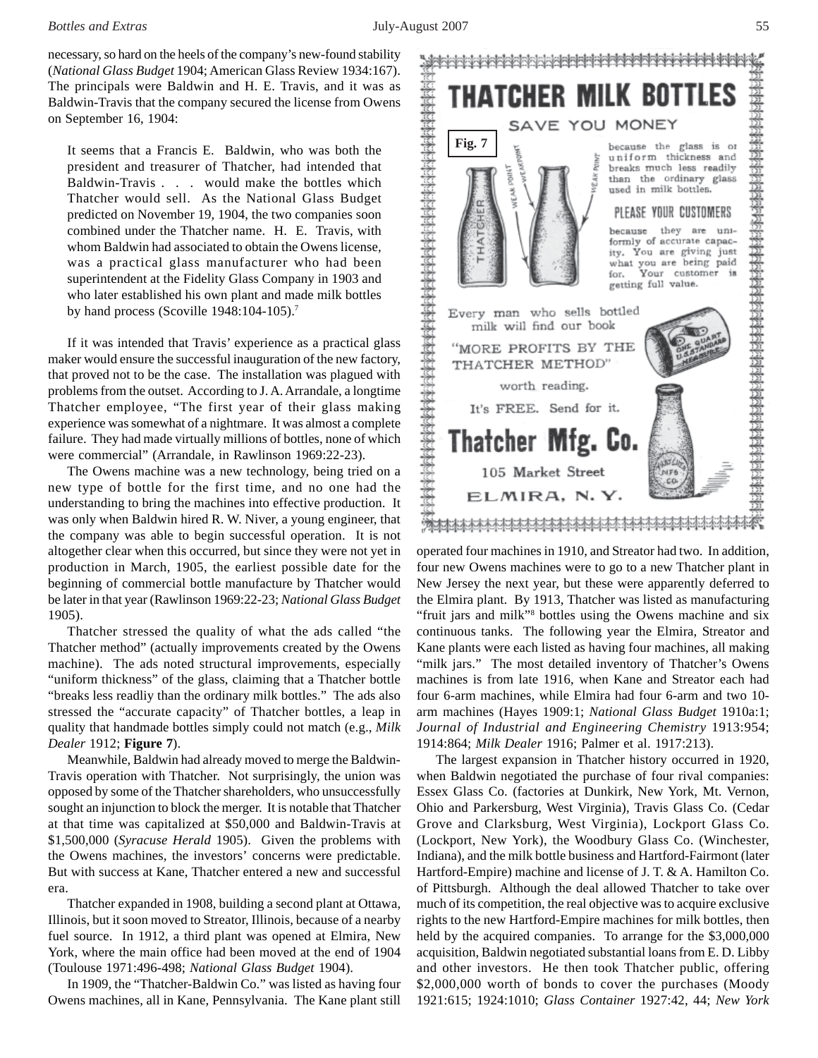#### *Bottles and Extras* July-August 2007 55

necessary, so hard on the heels of the company's new-found stability (*National Glass Budget* 1904; American Glass Review 1934:167). The principals were Baldwin and H. E. Travis, and it was as Baldwin-Travis that the company secured the license from Owens on September 16, 1904:

It seems that a Francis E. Baldwin, who was both the president and treasurer of Thatcher, had intended that Baldwin-Travis . . . would make the bottles which Thatcher would sell. As the National Glass Budget predicted on November 19, 1904, the two companies soon combined under the Thatcher name. H. E. Travis, with whom Baldwin had associated to obtain the Owens license, was a practical glass manufacturer who had been superintendent at the Fidelity Glass Company in 1903 and who later established his own plant and made milk bottles by hand process (Scoville 1948:104-105).7

If it was intended that Travis' experience as a practical glass maker would ensure the successful inauguration of the new factory, that proved not to be the case. The installation was plagued with problems from the outset. According to J. A. Arrandale, a longtime Thatcher employee, "The first year of their glass making experience was somewhat of a nightmare. It was almost a complete failure. They had made virtually millions of bottles, none of which were commercial" (Arrandale, in Rawlinson 1969:22-23).

The Owens machine was a new technology, being tried on a new type of bottle for the first time, and no one had the understanding to bring the machines into effective production. It was only when Baldwin hired R. W. Niver, a young engineer, that the company was able to begin successful operation. It is not altogether clear when this occurred, but since they were not yet in production in March, 1905, the earliest possible date for the beginning of commercial bottle manufacture by Thatcher would be later in that year (Rawlinson 1969:22-23; *National Glass Budget* 1905).

Thatcher stressed the quality of what the ads called "the Thatcher method" (actually improvements created by the Owens machine). The ads noted structural improvements, especially "uniform thickness" of the glass, claiming that a Thatcher bottle "breaks less readliy than the ordinary milk bottles." The ads also stressed the "accurate capacity" of Thatcher bottles, a leap in quality that handmade bottles simply could not match (e.g., *Milk Dealer* 1912; **Figure 7**).

Meanwhile, Baldwin had already moved to merge the Baldwin-Travis operation with Thatcher. Not surprisingly, the union was opposed by some of the Thatcher shareholders, who unsuccessfully sought an injunction to block the merger. It is notable that Thatcher at that time was capitalized at \$50,000 and Baldwin-Travis at \$1,500,000 (*Syracuse Herald* 1905). Given the problems with the Owens machines, the investors' concerns were predictable. But with success at Kane, Thatcher entered a new and successful era.

Thatcher expanded in 1908, building a second plant at Ottawa, Illinois, but it soon moved to Streator, Illinois, because of a nearby fuel source. In 1912, a third plant was opened at Elmira, New York, where the main office had been moved at the end of 1904 (Toulouse 1971:496-498; *National Glass Budget* 1904).

In 1909, the "Thatcher-Baldwin Co." was listed as having four Owens machines, all in Kane, Pennsylvania. The Kane plant still



four new Owens machines were to go to a new Thatcher plant in New Jersey the next year, but these were apparently deferred to the Elmira plant. By 1913, Thatcher was listed as manufacturing "fruit jars and milk"<sup>8</sup> bottles using the Owens machine and six continuous tanks. The following year the Elmira, Streator and Kane plants were each listed as having four machines, all making "milk jars." The most detailed inventory of Thatcher's Owens machines is from late 1916, when Kane and Streator each had four 6-arm machines, while Elmira had four 6-arm and two 10 arm machines (Hayes 1909:1; *National Glass Budget* 1910a:1; *Journal of Industrial and Engineering Chemistry* 1913:954; 1914:864; *Milk Dealer* 1916; Palmer et al. 1917:213).

The largest expansion in Thatcher history occurred in 1920, when Baldwin negotiated the purchase of four rival companies: Essex Glass Co. (factories at Dunkirk, New York, Mt. Vernon, Ohio and Parkersburg, West Virginia), Travis Glass Co. (Cedar Grove and Clarksburg, West Virginia), Lockport Glass Co. (Lockport, New York), the Woodbury Glass Co. (Winchester, Indiana), and the milk bottle business and Hartford-Fairmont (later Hartford-Empire) machine and license of J. T. & A. Hamilton Co. of Pittsburgh. Although the deal allowed Thatcher to take over much of its competition, the real objective was to acquire exclusive rights to the new Hartford-Empire machines for milk bottles, then held by the acquired companies. To arrange for the \$3,000,000 acquisition, Baldwin negotiated substantial loans from E. D. Libby and other investors. He then took Thatcher public, offering \$2,000,000 worth of bonds to cover the purchases (Moody 1921:615; 1924:1010; *Glass Container* 1927:42, 44; *New York*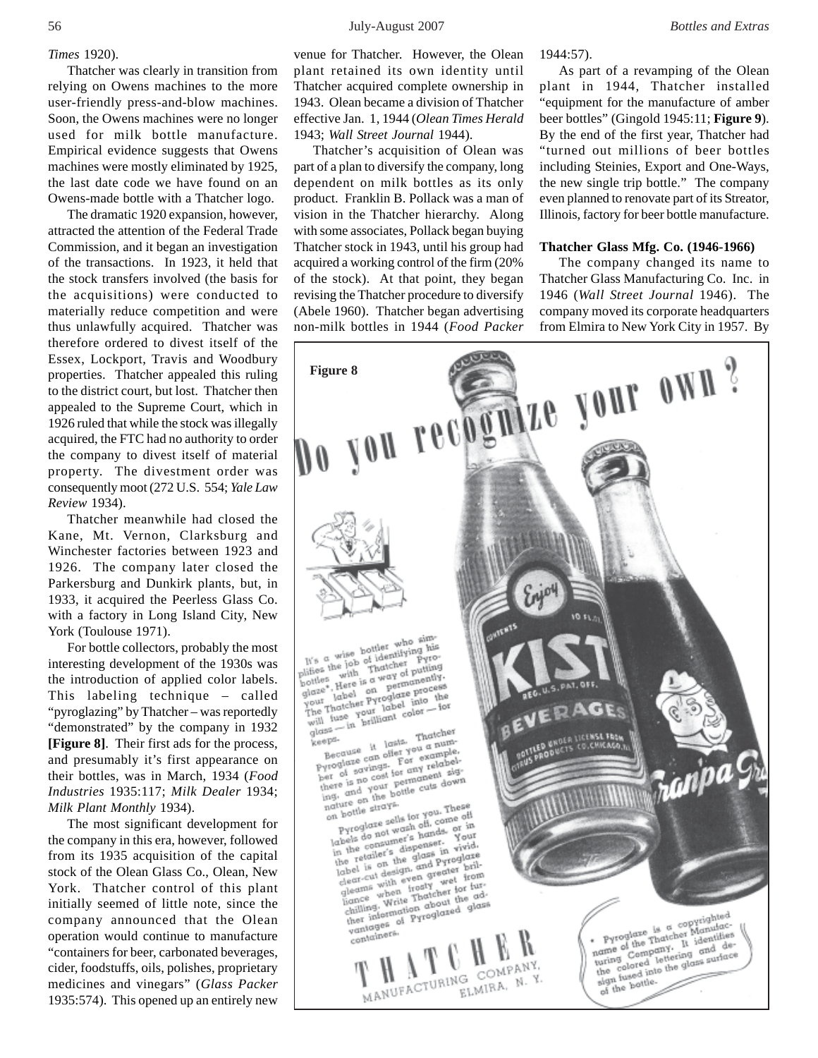#### *Times* 1920).

Thatcher was clearly in transition from relying on Owens machines to the more user-friendly press-and-blow machines. Soon, the Owens machines were no longer used for milk bottle manufacture. Empirical evidence suggests that Owens machines were mostly eliminated by 1925, the last date code we have found on an Owens-made bottle with a Thatcher logo.

The dramatic 1920 expansion, however, attracted the attention of the Federal Trade Commission, and it began an investigation of the transactions. In 1923, it held that the stock transfers involved (the basis for the acquisitions) were conducted to materially reduce competition and were thus unlawfully acquired. Thatcher was therefore ordered to divest itself of the Essex, Lockport, Travis and Woodbury properties. Thatcher appealed this ruling to the district court, but lost. Thatcher then appealed to the Supreme Court, which in 1926 ruled that while the stock was illegally acquired, the FTC had no authority to order the company to divest itself of material property. The divestment order was consequently moot (272 U.S. 554; *Yale Law Review* 1934).

Thatcher meanwhile had closed the Kane, Mt. Vernon, Clarksburg and Winchester factories between 1923 and 1926. The company later closed the Parkersburg and Dunkirk plants, but, in 1933, it acquired the Peerless Glass Co. with a factory in Long Island City, New York (Toulouse 1971).

For bottle collectors, probably the most interesting development of the 1930s was the introduction of applied color labels. This labeling technique – called "pyroglazing" by Thatcher – was reportedly "demonstrated" by the company in 1932 **[Figure 8]**. Their first ads for the process, and presumably it's first appearance on their bottles, was in March, 1934 (*Food Industries* 1935:117; *Milk Dealer* 1934; *Milk Plant Monthly* 1934).

The most significant development for the company in this era, however, followed from its 1935 acquisition of the capital stock of the Olean Glass Co., Olean, New York. Thatcher control of this plant initially seemed of little note, since the company announced that the Olean operation would continue to manufacture "containers for beer, carbonated beverages, cider, foodstuffs, oils, polishes, proprietary medicines and vinegars" (*Glass Packer* 1935:574). This opened up an entirely new

venue for Thatcher. However, the Olean plant retained its own identity until Thatcher acquired complete ownership in 1943. Olean became a division of Thatcher effective Jan. 1, 1944 (*Olean Times Herald* 1943; *Wall Street Journal* 1944).

Thatcher's acquisition of Olean was part of a plan to diversify the company, long dependent on milk bottles as its only product. Franklin B. Pollack was a man of vision in the Thatcher hierarchy. Along with some associates, Pollack began buying Thatcher stock in 1943, until his group had acquired a working control of the firm (20% of the stock). At that point, they began revising the Thatcher procedure to diversify (Abele 1960). Thatcher began advertising non-milk bottles in 1944 (*Food Packer* 1944:57).

As part of a revamping of the Olean plant in 1944, Thatcher installed "equipment for the manufacture of amber beer bottles" (Gingold 1945:11; **Figure 9**). By the end of the first year, Thatcher had "turned out millions of beer bottles including Steinies, Export and One-Ways, the new single trip bottle." The company even planned to renovate part of its Streator, Illinois, factory for beer bottle manufacture.

#### **Thatcher Glass Mfg. Co. (1946-1966)**

The company changed its name to Thatcher Glass Manufacturing Co. Inc. in 1946 (*Wall Street Journal* 1946). The company moved its corporate headquarters from Elmira to New York City in 1957. By

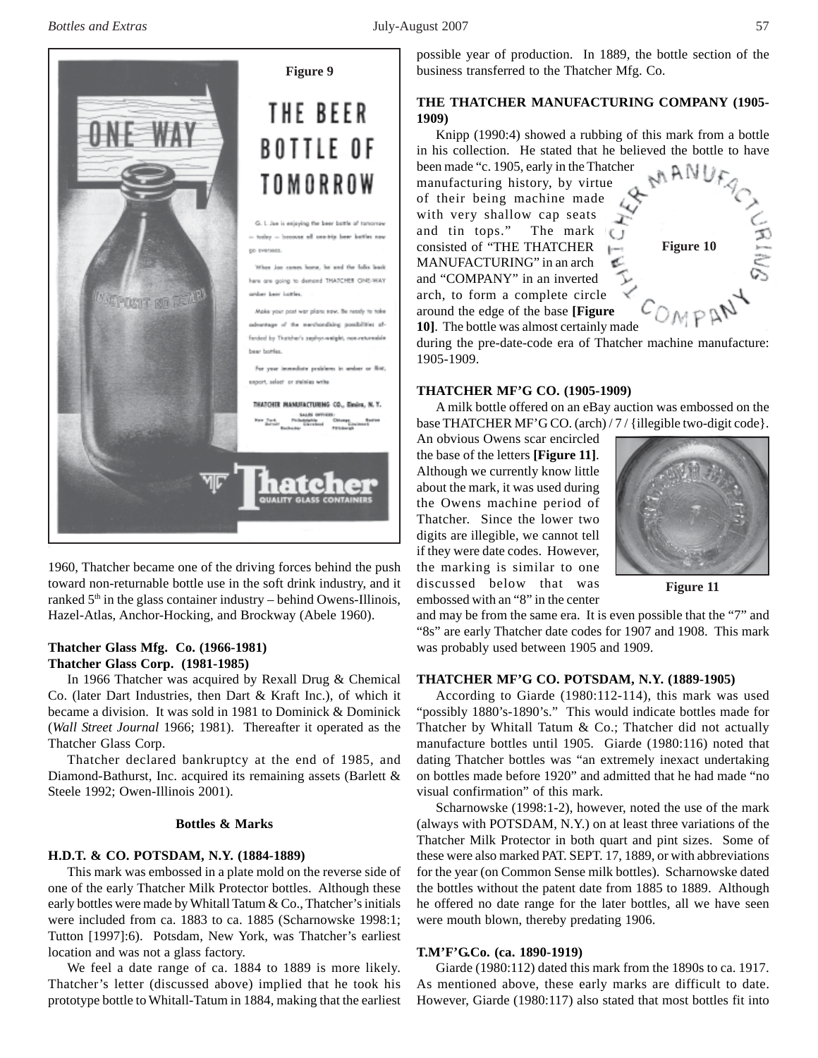

1960, Thatcher became one of the driving forces behind the push toward non-returnable bottle use in the soft drink industry, and it ranked  $5<sup>th</sup>$  in the glass container industry – behind Owens-Illinois, Hazel-Atlas, Anchor-Hocking, and Brockway (Abele 1960).

# **Thatcher Glass Mfg. Co. (1966-1981) Thatcher Glass Corp. (1981-1985)**

In 1966 Thatcher was acquired by Rexall Drug & Chemical Co. (later Dart Industries, then Dart & Kraft Inc.), of which it became a division. It was sold in 1981 to Dominick & Dominick (*Wall Street Journal* 1966; 1981). Thereafter it operated as the Thatcher Glass Corp.

Thatcher declared bankruptcy at the end of 1985, and Diamond-Bathurst, Inc. acquired its remaining assets (Barlett & Steele 1992; Owen-Illinois 2001).

# **Bottles & Marks**

### **H.D.T. & CO. POTSDAM, N.Y. (1884-1889)**

This mark was embossed in a plate mold on the reverse side of one of the early Thatcher Milk Protector bottles. Although these early bottles were made by Whitall Tatum & Co., Thatcher's initials were included from ca. 1883 to ca. 1885 (Scharnowske 1998:1; Tutton [1997]:6). Potsdam, New York, was Thatcher's earliest location and was not a glass factory.

We feel a date range of ca. 1884 to 1889 is more likely. Thatcher's letter (discussed above) implied that he took his prototype bottle to Whitall-Tatum in 1884, making that the earliest possible year of production. In 1889, the bottle section of the business transferred to the Thatcher Mfg. Co.

# **THE THATCHER MANUFACTURING COMPANY (1905- 1909)**

Knipp (1990:4) showed a rubbing of this mark from a bottle in his collection. He stated that he believed the bottle to have been made "c. 1905, early in the Thatcher

manufacturing history, by virtue of their being machine made with very shallow cap seats and tin tops." The mark consisted of "THE THATCHER MANUFACTURING" in an arch and "COMPANY" in an inverted arch, to form a complete circle around the edge of the base **[Figure 10]**. The bottle was almost certainly made



during the pre-date-code era of Thatcher machine manufacture: 1905-1909.

#### **THATCHER MF'G CO. (1905-1909)**

A milk bottle offered on an eBay auction was embossed on the base THATCHER MF'G CO. (arch) / 7 / {illegible two-digit code}.

An obvious Owens scar encircled the base of the letters **[Figure 11]**. Although we currently know little about the mark, it was used during the Owens machine period of Thatcher. Since the lower two digits are illegible, we cannot tell if they were date codes. However, the marking is similar to one discussed below that was embossed with an "8" in the center



**Figure 11**

and may be from the same era. It is even possible that the "7" and "8s" are early Thatcher date codes for 1907 and 1908. This mark was probably used between 1905 and 1909.

#### **THATCHER MF'G CO. POTSDAM, N.Y. (1889-1905)**

According to Giarde (1980:112-114), this mark was used "possibly 1880's-1890's." This would indicate bottles made for Thatcher by Whitall Tatum & Co.; Thatcher did not actually manufacture bottles until 1905. Giarde (1980:116) noted that dating Thatcher bottles was "an extremely inexact undertaking on bottles made before 1920" and admitted that he had made "no visual confirmation" of this mark.

Scharnowske (1998:1-2), however, noted the use of the mark (always with POTSDAM, N.Y.) on at least three variations of the Thatcher Milk Protector in both quart and pint sizes. Some of these were also marked PAT. SEPT. 17, 1889, or with abbreviations for the year (on Common Sense milk bottles). Scharnowske dated the bottles without the patent date from 1885 to 1889. Although he offered no date range for the later bottles, all we have seen were mouth blown, thereby predating 1906.

#### **T.M'F'G.Co. (ca. 1890-1919)**

Giarde (1980:112) dated this mark from the 1890s to ca. 1917. As mentioned above, these early marks are difficult to date. However, Giarde (1980:117) also stated that most bottles fit into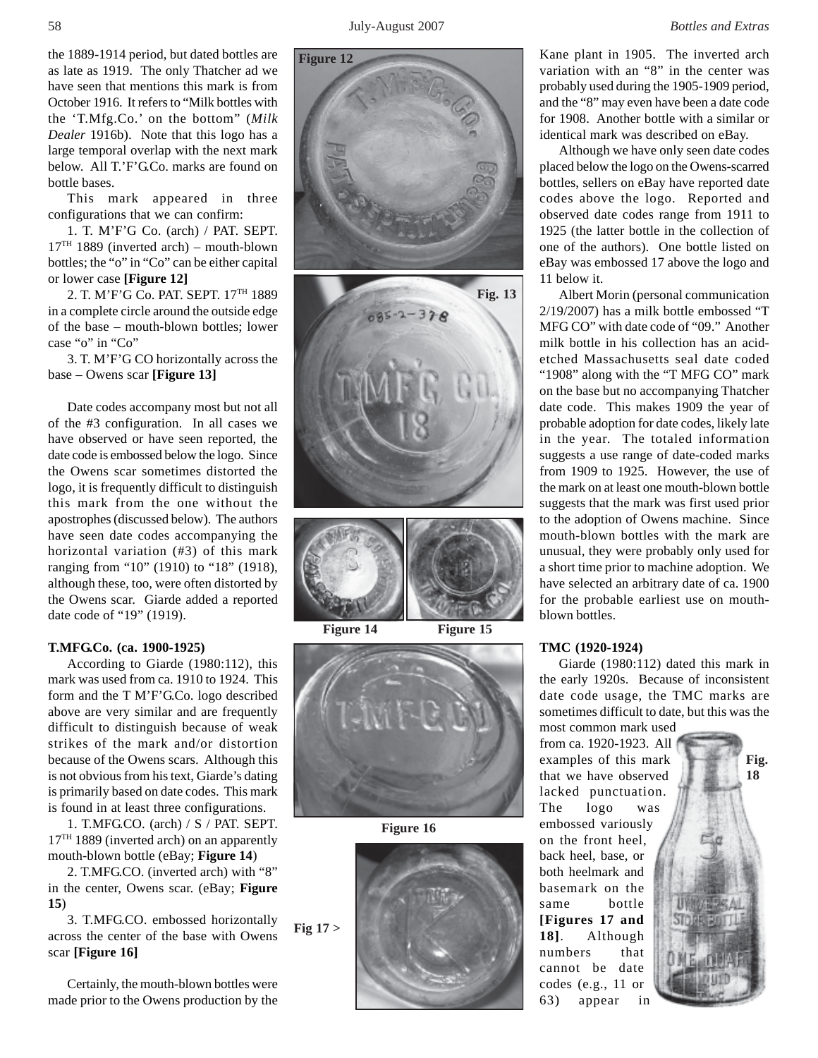Kane plant in 1905. The inverted arch variation with an "8" in the center was probably used during the 1905-1909 period,

the 1889-1914 period, but dated bottles are as late as 1919. The only Thatcher ad we have seen that mentions this mark is from October 1916. It refers to "Milk bottles with the 'T.Mfg.Co.' on the bottom" (*Milk Dealer* 1916b). Note that this logo has a large temporal overlap with the next mark below. All T.'F'G.Co. marks are found on bottle bases.

This mark appeared in three configurations that we can confirm:

1. T. M'F'G Co. (arch) / PAT. SEPT.  $17<sup>TH</sup>$  1889 (inverted arch) – mouth-blown bottles; the "o" in "Co" can be either capital or lower case **[Figure 12]**

2. T. M'F'G Co. PAT. SEPT. 17TH 1889 in a complete circle around the outside edge of the base – mouth-blown bottles; lower case "o" in "Co"

3. T. M'F'G CO horizontally across the base – Owens scar **[Figure 13]**

Date codes accompany most but not all of the #3 configuration. In all cases we have observed or have seen reported, the date code is embossed below the logo. Since the Owens scar sometimes distorted the logo, it is frequently difficult to distinguish this mark from the one without the apostrophes (discussed below). The authors have seen date codes accompanying the horizontal variation (#3) of this mark ranging from "10" (1910) to "18" (1918), although these, too, were often distorted by the Owens scar. Giarde added a reported date code of "19" (1919).

#### **T.MFG.Co. (ca. 1900-1925)**

According to Giarde (1980:112), this mark was used from ca. 1910 to 1924. This form and the T M'F'G.Co. logo described above are very similar and are frequently difficult to distinguish because of weak strikes of the mark and/or distortion because of the Owens scars. Although this is not obvious from his text, Giarde's dating is primarily based on date codes. This mark is found in at least three configurations.

1. T.MFG.CO. (arch) / S / PAT. SEPT. 17<sup>TH</sup> 1889 (inverted arch) on an apparently mouth-blown bottle (eBay; **Figure 14**)

2. T.MFG.CO. (inverted arch) with "8" in the center, Owens scar. (eBay; **Figure 15**)

3. T.MFG.CO. embossed horizontally across the center of the base with Owens scar **[Figure 16] Fig 17 >**

Certainly, the mouth-blown bottles were made prior to the Owens production by the **Fig. 13** and the "8" may even have been a date code for 1908. Another bottle with a similar or identical mark was described on eBay. Although we have only seen date codes placed below the logo on the Owens-scarred bottles, sellers on eBay have reported date codes above the logo. Reported and observed date codes range from 1911 to 1925 (the latter bottle in the collection of one of the authors). One bottle listed on eBay was embossed 17 above the logo and 11 below it. Albert Morin (personal communication

2/19/2007) has a milk bottle embossed "T MFG CO" with date code of "09." Another milk bottle in his collection has an acidetched Massachusetts seal date coded "1908" along with the "T MFG CO" mark on the base but no accompanying Thatcher date code. This makes 1909 the year of probable adoption for date codes, likely late in the year. The totaled information suggests a use range of date-coded marks from 1909 to 1925. However, the use of the mark on at least one mouth-blown bottle suggests that the mark was first used prior to the adoption of Owens machine. Since mouth-blown bottles with the mark are unusual, they were probably only used for a short time prior to machine adoption. We have selected an arbitrary date of ca. 1900 for the probable earliest use on mouthblown bottles.

### **TMC (1920-1924)**

Giarde (1980:112) dated this mark in the early 1920s. Because of inconsistent date code usage, the TMC marks are sometimes difficult to date, but this was the most common mark used

from ca. 1920-1923. All examples of this mark that we have observed lacked punctuation. The logo was embossed variously on the front heel, back heel, base, or both heelmark and basemark on the same bottle **[Figures 17 and 18]**. Although numbers that cannot be date codes (e.g., 11 or 63) appear in





**Figure 12**

**Figure 14 Figure 15**



**Figure 16**

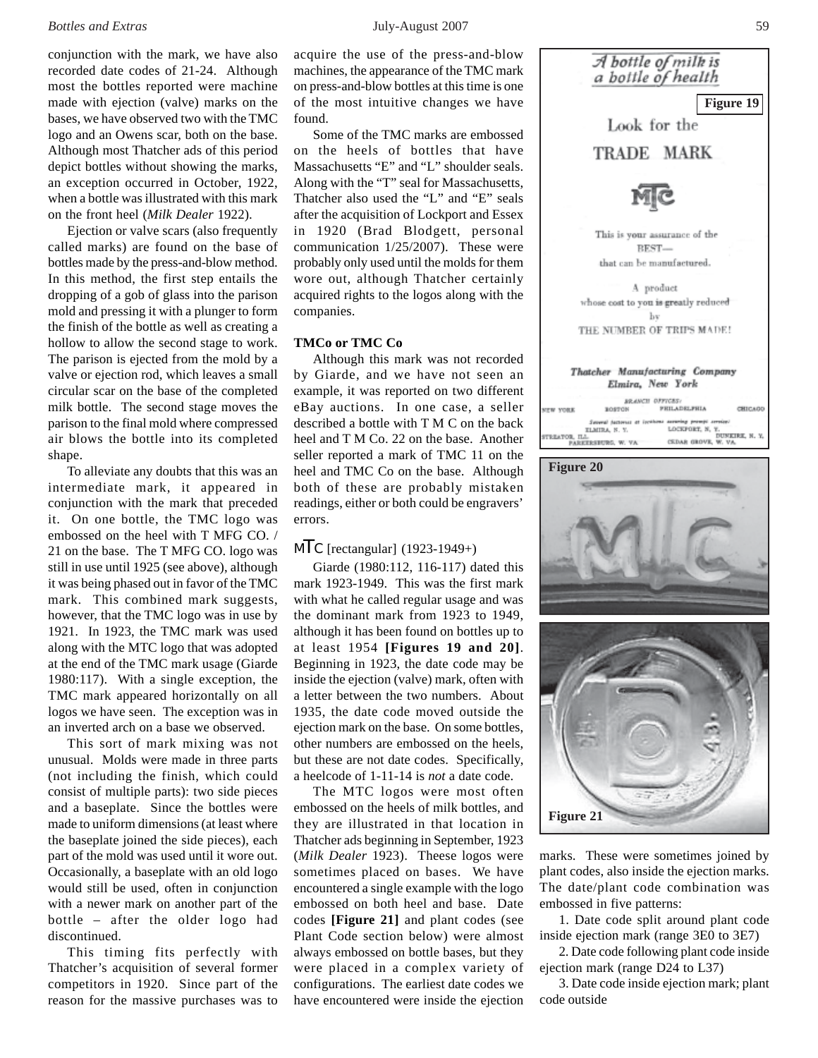conjunction with the mark, we have also recorded date codes of 21-24. Although most the bottles reported were machine made with ejection (valve) marks on the bases, we have observed two with the TMC logo and an Owens scar, both on the base. Although most Thatcher ads of this period depict bottles without showing the marks, an exception occurred in October, 1922, when a bottle was illustrated with this mark on the front heel (*Milk Dealer* 1922).

Ejection or valve scars (also frequently called marks) are found on the base of bottles made by the press-and-blow method. In this method, the first step entails the dropping of a gob of glass into the parison mold and pressing it with a plunger to form the finish of the bottle as well as creating a hollow to allow the second stage to work. The parison is ejected from the mold by a valve or ejection rod, which leaves a small circular scar on the base of the completed milk bottle. The second stage moves the parison to the final mold where compressed air blows the bottle into its completed shape.

To alleviate any doubts that this was an intermediate mark, it appeared in conjunction with the mark that preceded it. On one bottle, the TMC logo was embossed on the heel with T MFG CO. / 21 on the base. The T MFG CO. logo was still in use until 1925 (see above), although it was being phased out in favor of the TMC mark. This combined mark suggests, however, that the TMC logo was in use by 1921. In 1923, the TMC mark was used along with the MTC logo that was adopted at the end of the TMC mark usage (Giarde 1980:117). With a single exception, the TMC mark appeared horizontally on all logos we have seen. The exception was in an inverted arch on a base we observed.

This sort of mark mixing was not unusual. Molds were made in three parts (not including the finish, which could consist of multiple parts): two side pieces and a baseplate. Since the bottles were made to uniform dimensions (at least where the baseplate joined the side pieces), each part of the mold was used until it wore out. Occasionally, a baseplate with an old logo would still be used, often in conjunction with a newer mark on another part of the bottle – after the older logo had discontinued.

This timing fits perfectly with Thatcher's acquisition of several former competitors in 1920. Since part of the reason for the massive purchases was to

acquire the use of the press-and-blow machines, the appearance of the TMC mark on press-and-blow bottles at this time is one of the most intuitive changes we have found.

Some of the TMC marks are embossed on the heels of bottles that have Massachusetts "E" and "L" shoulder seals. Along with the "T" seal for Massachusetts, Thatcher also used the "L" and "E" seals after the acquisition of Lockport and Essex in 1920 (Brad Blodgett, personal communication 1/25/2007). These were probably only used until the molds for them wore out, although Thatcher certainly acquired rights to the logos along with the companies.

### **TMCo or TMC Co**

Although this mark was not recorded by Giarde, and we have not seen an example, it was reported on two different eBay auctions. In one case, a seller described a bottle with T M C on the back heel and T M Co. 22 on the base. Another seller reported a mark of TMC 11 on the heel and TMC Co on the base. Although both of these are probably mistaken readings, either or both could be engravers' errors.

# $MTC$  [rectangular] (1923-1949+)

Giarde (1980:112, 116-117) dated this mark 1923-1949. This was the first mark with what he called regular usage and was the dominant mark from 1923 to 1949, although it has been found on bottles up to at least 1954 **[Figures 19 and 20]**. Beginning in 1923, the date code may be inside the ejection (valve) mark, often with a letter between the two numbers. About 1935, the date code moved outside the ejection mark on the base. On some bottles, other numbers are embossed on the heels, but these are not date codes. Specifically, a heelcode of 1-11-14 is *not* a date code.

The MTC logos were most often embossed on the heels of milk bottles, and they are illustrated in that location in Thatcher ads beginning in September, 1923 (*Milk Dealer* 1923). Theese logos were sometimes placed on bases. We have encountered a single example with the logo embossed on both heel and base. Date codes **[Figure 21]** and plant codes (see Plant Code section below) were almost always embossed on bottle bases, but they were placed in a complex variety of configurations. The earliest date codes we have encountered were inside the ejection



marks. These were sometimes joined by plant codes, also inside the ejection marks. The date/plant code combination was embossed in five patterns:

**Figure 21**

1. Date code split around plant code inside ejection mark (range 3E0 to 3E7)

2. Date code following plant code inside ejection mark (range D24 to L37)

3. Date code inside ejection mark; plant code outside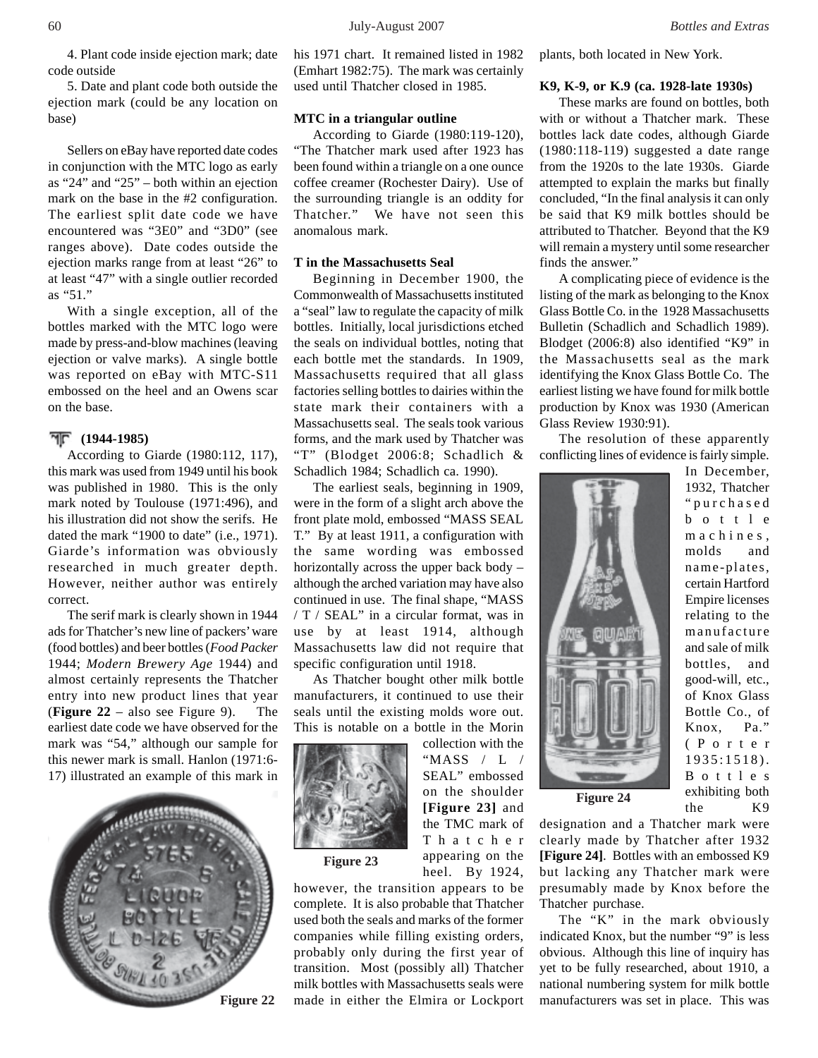4. Plant code inside ejection mark; date code outside

5. Date and plant code both outside the ejection mark (could be any location on base)

Sellers on eBay have reported date codes in conjunction with the MTC logo as early as "24" and "25" – both within an ejection mark on the base in the #2 configuration. The earliest split date code we have encountered was "3E0" and "3D0" (see ranges above). Date codes outside the ejection marks range from at least "26" to at least "47" with a single outlier recorded as "51."

With a single exception, all of the bottles marked with the MTC logo were made by press-and-blow machines (leaving ejection or valve marks). A single bottle was reported on eBay with MTC-S11 embossed on the heel and an Owens scar on the base.

#### **(1944-1985)**

According to Giarde (1980:112, 117), this mark was used from 1949 until his book was published in 1980. This is the only mark noted by Toulouse (1971:496), and his illustration did not show the serifs. He dated the mark "1900 to date" (i.e., 1971). Giarde's information was obviously researched in much greater depth. However, neither author was entirely correct.

The serif mark is clearly shown in 1944 ads for Thatcher's new line of packers' ware (food bottles) and beer bottles (*Food Packer* 1944; *Modern Brewery Age* 1944) and almost certainly represents the Thatcher entry into new product lines that year (**Figure 22** – also see Figure 9). The earliest date code we have observed for the mark was "54," although our sample for this newer mark is small. Hanlon (1971:6- 17) illustrated an example of this mark in



his 1971 chart. It remained listed in 1982 (Emhart 1982:75). The mark was certainly used until Thatcher closed in 1985.

#### **MTC in a triangular outline**

According to Giarde (1980:119-120), "The Thatcher mark used after 1923 has been found within a triangle on a one ounce coffee creamer (Rochester Dairy). Use of the surrounding triangle is an oddity for Thatcher." We have not seen this anomalous mark.

### **T in the Massachusetts Seal**

Beginning in December 1900, the Commonwealth of Massachusetts instituted a "seal" law to regulate the capacity of milk bottles. Initially, local jurisdictions etched the seals on individual bottles, noting that each bottle met the standards. In 1909, Massachusetts required that all glass factories selling bottles to dairies within the state mark their containers with a Massachusetts seal. The seals took various forms, and the mark used by Thatcher was "T" (Blodget 2006:8; Schadlich & Schadlich 1984; Schadlich ca. 1990).

The earliest seals, beginning in 1909, were in the form of a slight arch above the front plate mold, embossed "MASS SEAL T." By at least 1911, a configuration with the same wording was embossed horizontally across the upper back body – although the arched variation may have also continued in use. The final shape, "MASS / T / SEAL" in a circular format, was in use by at least 1914, although Massachusetts law did not require that specific configuration until 1918.

As Thatcher bought other milk bottle manufacturers, it continued to use their seals until the existing molds wore out. This is notable on a bottle in the Morin

> collection with the "MASS / L / SEAL" embossed on the shoulder **[Figure 23]** and the TMC mark of Thatcher appearing on the



**Figure 23**

heel. By 1924, however, the transition appears to be complete. It is also probable that Thatcher used both the seals and marks of the former companies while filling existing orders, probably only during the first year of transition. Most (possibly all) Thatcher milk bottles with Massachusetts seals were made in either the Elmira or Lockport

plants, both located in New York.

#### **K9, K-9, or K.9 (ca. 1928-late 1930s)**

These marks are found on bottles, both with or without a Thatcher mark. These bottles lack date codes, although Giarde (1980:118-119) suggested a date range from the 1920s to the late 1930s. Giarde attempted to explain the marks but finally concluded, "In the final analysis it can only be said that K9 milk bottles should be attributed to Thatcher. Beyond that the K9 will remain a mystery until some researcher finds the answer."

A complicating piece of evidence is the listing of the mark as belonging to the Knox Glass Bottle Co. in the 1928 Massachusetts Bulletin (Schadlich and Schadlich 1989). Blodget (2006:8) also identified "K9" in the Massachusetts seal as the mark identifying the Knox Glass Bottle Co. The earliest listing we have found for milk bottle production by Knox was 1930 (American Glass Review 1930:91).

The resolution of these apparently conflicting lines of evidence is fairly simple.



In December, 1932, Thatcher "purchased bottle machines, molds and name-plates, certain Hartford Empire licenses relating to the manufacture and sale of milk bottles, and good-will, etc., of Knox Glass Bottle Co., of Knox, Pa." (Porter 1935:1518). Bottles exhibiting both the K9

**Figure 24**

designation and a Thatcher mark were clearly made by Thatcher after 1932 **[Figure 24]**. Bottles with an embossed K9 but lacking any Thatcher mark were presumably made by Knox before the Thatcher purchase.

The "K" in the mark obviously indicated Knox, but the number "9" is less obvious. Although this line of inquiry has yet to be fully researched, about 1910, a national numbering system for milk bottle manufacturers was set in place. This was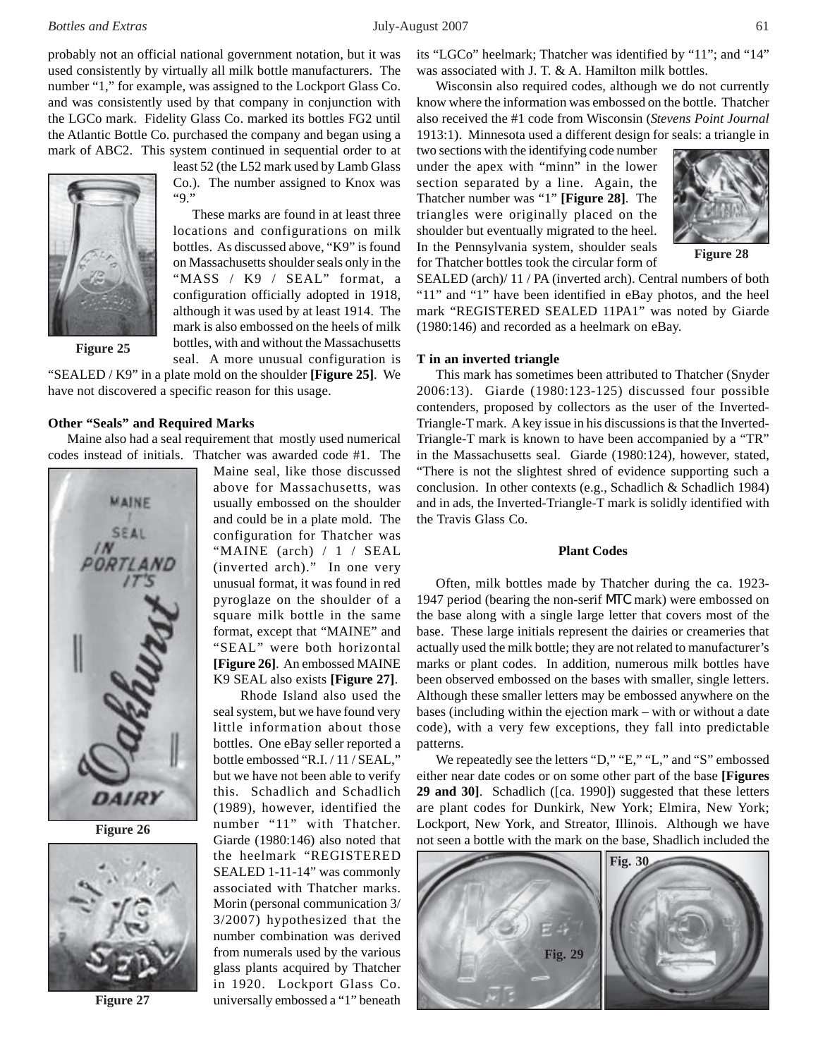probably not an official national government notation, but it was used consistently by virtually all milk bottle manufacturers. The number "1," for example, was assigned to the Lockport Glass Co. and was consistently used by that company in conjunction with the LGCo mark. Fidelity Glass Co. marked its bottles FG2 until the Atlantic Bottle Co. purchased the company and began using a mark of ABC2. This system continued in sequential order to at



**Figure 25**

Co.). The number assigned to Knox was "9." These marks are found in at least three

least 52 (the L52 mark used by Lamb Glass

locations and configurations on milk bottles. As discussed above, "K9" is found on Massachusetts shoulder seals only in the "MASS / K9 / SEAL" format, a configuration officially adopted in 1918, although it was used by at least 1914. The mark is also embossed on the heels of milk bottles, with and without the Massachusetts seal. A more unusual configuration is

"SEALED / K9" in a plate mold on the shoulder **[Figure 25]**. We have not discovered a specific reason for this usage.

#### **Other "Seals" and Required Marks**

Maine also had a seal requirement that mostly used numerical codes instead of initials. Thatcher was awarded code #1. The



**Figure 26**



**Figure 27**

Maine seal, like those discussed above for Massachusetts, was usually embossed on the shoulder and could be in a plate mold. The configuration for Thatcher was "MAINE (arch) / 1 / SEAL (inverted arch)." In one very unusual format, it was found in red pyroglaze on the shoulder of a square milk bottle in the same format, except that "MAINE" and "SEAL" were both horizontal **[Figure 26]**. An embossed MAINE K9 SEAL also exists **[Figure 27]**.

Rhode Island also used the seal system, but we have found very little information about those bottles. One eBay seller reported a bottle embossed "R.I. / 11 / SEAL," but we have not been able to verify this. Schadlich and Schadlich (1989), however, identified the number "11" with Thatcher. Giarde (1980:146) also noted that the heelmark "REGISTERED SEALED 1-11-14" was commonly associated with Thatcher marks. Morin (personal communication 3/ 3/2007) hypothesized that the number combination was derived from numerals used by the various glass plants acquired by Thatcher in 1920. Lockport Glass Co. universally embossed a "1" beneath

its "LGCo" heelmark; Thatcher was identified by "11"; and "14" was associated with J. T. & A. Hamilton milk bottles.

Wisconsin also required codes, although we do not currently know where the information was embossed on the bottle. Thatcher also received the #1 code from Wisconsin (*Stevens Point Journal* 1913:1). Minnesota used a different design for seals: a triangle in

two sections with the identifying code number under the apex with "minn" in the lower section separated by a line. Again, the Thatcher number was "1" **[Figure 28]**. The triangles were originally placed on the shoulder but eventually migrated to the heel. In the Pennsylvania system, shoulder seals for Thatcher bottles took the circular form of



**Figure 28**

SEALED (arch)/ 11 / PA (inverted arch). Central numbers of both "11" and "1" have been identified in eBay photos, and the heel mark "REGISTERED SEALED 11PA1" was noted by Giarde (1980:146) and recorded as a heelmark on eBay.

#### **T in an inverted triangle**

This mark has sometimes been attributed to Thatcher (Snyder 2006:13). Giarde (1980:123-125) discussed four possible contenders, proposed by collectors as the user of the Inverted-Triangle-T mark. A key issue in his discussions is that the Inverted-Triangle-T mark is known to have been accompanied by a "TR" in the Massachusetts seal. Giarde (1980:124), however, stated, "There is not the slightest shred of evidence supporting such a conclusion. In other contexts (e.g., Schadlich & Schadlich 1984) and in ads, the Inverted-Triangle-T mark is solidly identified with the Travis Glass Co.

# **Plant Codes**

Often, milk bottles made by Thatcher during the ca. 1923- 1947 period (bearing the non-serif MTC mark) were embossed on the base along with a single large letter that covers most of the base. These large initials represent the dairies or creameries that actually used the milk bottle; they are not related to manufacturer's marks or plant codes. In addition, numerous milk bottles have been observed embossed on the bases with smaller, single letters. Although these smaller letters may be embossed anywhere on the bases (including within the ejection mark – with or without a date code), with a very few exceptions, they fall into predictable patterns.

We repeatedly see the letters "D," "E," "L," and "S" embossed either near date codes or on some other part of the base **[Figures 29 and 30]**. Schadlich ([ca. 1990]) suggested that these letters are plant codes for Dunkirk, New York; Elmira, New York; Lockport, New York, and Streator, Illinois. Although we have not seen a bottle with the mark on the base, Shadlich included the

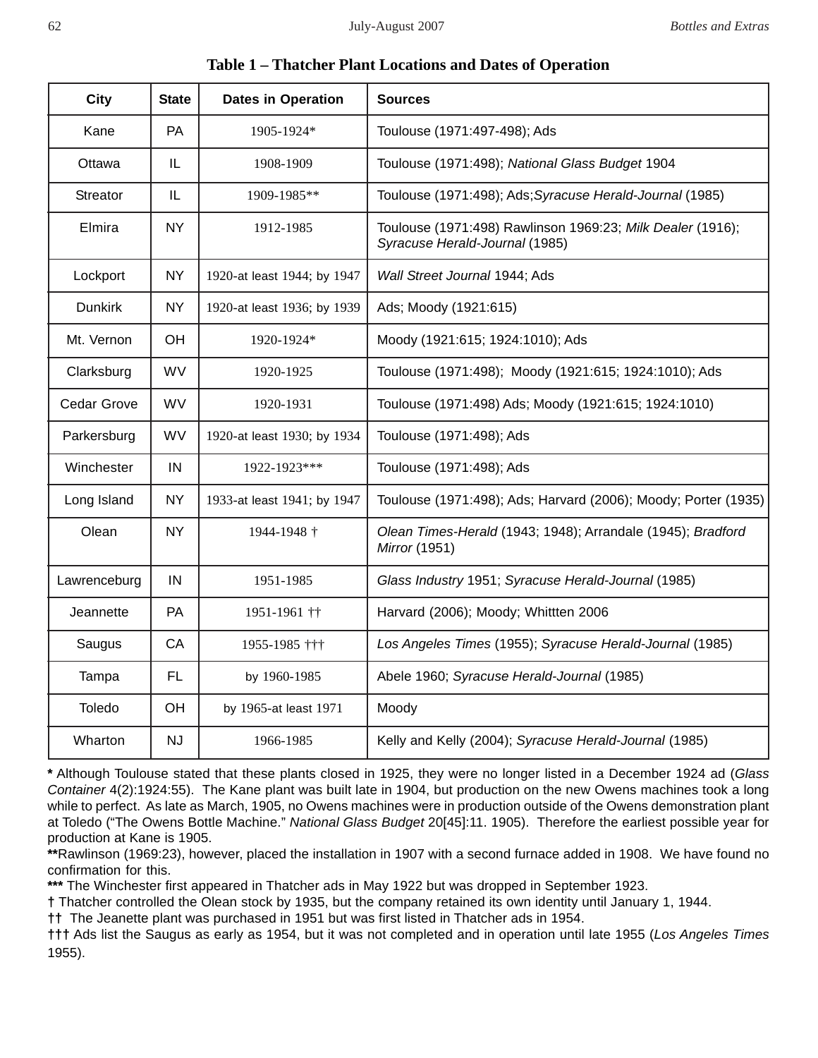|  |  |  |  |  |  | <b>Table 1 – Thatcher Plant Locations and Dates of Operation</b> |
|--|--|--|--|--|--|------------------------------------------------------------------|
|--|--|--|--|--|--|------------------------------------------------------------------|

| <b>City</b>        | <b>State</b> | <b>Dates in Operation</b>   | <b>Sources</b>                                                                               |
|--------------------|--------------|-----------------------------|----------------------------------------------------------------------------------------------|
| Kane               | <b>PA</b>    | 1905-1924*                  | Toulouse (1971:497-498); Ads                                                                 |
| Ottawa             | IL.          | 1908-1909                   | Toulouse (1971:498); National Glass Budget 1904                                              |
| Streator           | IL           | 1909-1985**                 | Toulouse (1971:498); Ads; Syracuse Herald-Journal (1985)                                     |
| Elmira             | <b>NY</b>    | 1912-1985                   | Toulouse (1971:498) Rawlinson 1969:23; Milk Dealer (1916);<br>Syracuse Herald-Journal (1985) |
| Lockport           | <b>NY</b>    | 1920-at least 1944; by 1947 | Wall Street Journal 1944; Ads                                                                |
| <b>Dunkirk</b>     | <b>NY</b>    | 1920-at least 1936; by 1939 | Ads; Moody (1921:615)                                                                        |
| Mt. Vernon         | OH           | 1920-1924*                  | Moody (1921:615; 1924:1010); Ads                                                             |
| Clarksburg         | <b>WV</b>    | 1920-1925                   | Toulouse (1971:498); Moody (1921:615; 1924:1010); Ads                                        |
| <b>Cedar Grove</b> | <b>WV</b>    | 1920-1931                   | Toulouse (1971:498) Ads; Moody (1921:615; 1924:1010)                                         |
| Parkersburg        | <b>WV</b>    | 1920-at least 1930; by 1934 | Toulouse (1971:498); Ads                                                                     |
| Winchester         | IN           | 1922-1923***                | Toulouse (1971:498); Ads                                                                     |
| Long Island        | <b>NY</b>    | 1933-at least 1941; by 1947 | Toulouse (1971:498); Ads; Harvard (2006); Moody; Porter (1935)                               |
| Olean              | <b>NY</b>    | 1944-1948 †                 | Olean Times-Herald (1943; 1948); Arrandale (1945); Bradford<br>Mirror (1951)                 |
| Lawrenceburg       | IN           | 1951-1985                   | Glass Industry 1951; Syracuse Herald-Journal (1985)                                          |
| Jeannette          | PA           | 1951-1961 ††                | Harvard (2006); Moody; Whittten 2006                                                         |
| Saugus             | CA           | 1955-1985 †††               | Los Angeles Times (1955); Syracuse Herald-Journal (1985)                                     |
| Tampa              | <b>FL</b>    | by 1960-1985                | Abele 1960; Syracuse Herald-Journal (1985)                                                   |
| Toledo             | OH           | by 1965-at least 1971       | Moody                                                                                        |
| Wharton            | <b>NJ</b>    | 1966-1985                   | Kelly and Kelly (2004); Syracuse Herald-Journal (1985)                                       |

**\*** Although Toulouse stated that these plants closed in 1925, they were no longer listed in a December 1924 ad (*Glass Container* 4(2):1924:55). The Kane plant was built late in 1904, but production on the new Owens machines took a long while to perfect. As late as March, 1905, no Owens machines were in production outside of the Owens demonstration plant at Toledo ("The Owens Bottle Machine." *National Glass Budget* 20[45]:11. 1905). Therefore the earliest possible year for production at Kane is 1905.

**\*\***Rawlinson (1969:23), however, placed the installation in 1907 with a second furnace added in 1908. We have found no confirmation for this.

**\*\*\*** The Winchester first appeared in Thatcher ads in May 1922 but was dropped in September 1923.

**†** Thatcher controlled the Olean stock by 1935, but the company retained its own identity until January 1, 1944.

**††** The Jeanette plant was purchased in 1951 but was first listed in Thatcher ads in 1954.

**†††** Ads list the Saugus as early as 1954, but it was not completed and in operation until late 1955 (*Los Angeles Times* 1955).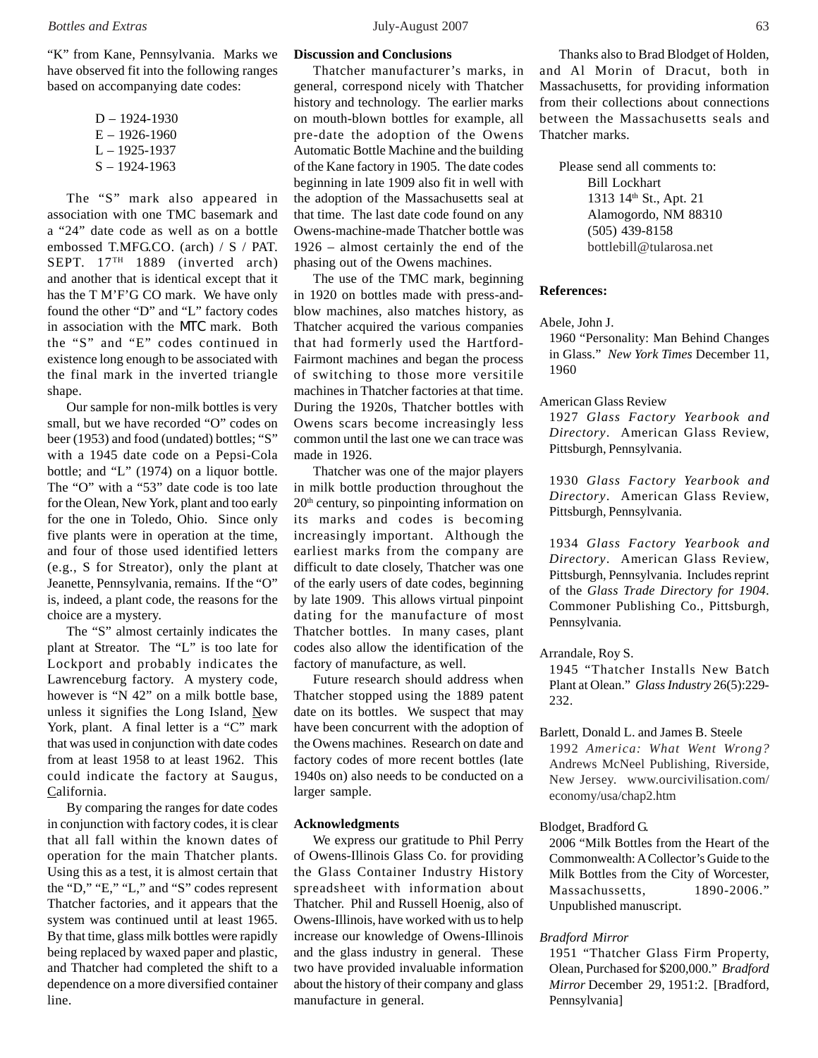"K" from Kane, Pennsylvania. Marks we have observed fit into the following ranges based on accompanying date codes:

| $D - 1924 - 1930$ |
|-------------------|
| $E - 1926 - 1960$ |
| $L - 1925 - 1937$ |
| $S - 1924 - 1963$ |

The "S" mark also appeared in association with one TMC basemark and a "24" date code as well as on a bottle embossed T.MFG.CO. (arch) / S / PAT. SEPT.  $17<sup>TH</sup>$  1889 (inverted arch) and another that is identical except that it has the T M'F'G CO mark. We have only found the other "D" and "L" factory codes in association with the MTC mark. Both the "S" and "E" codes continued in existence long enough to be associated with the final mark in the inverted triangle shape.

Our sample for non-milk bottles is very small, but we have recorded "O" codes on beer (1953) and food (undated) bottles; "S" with a 1945 date code on a Pepsi-Cola bottle; and "L" (1974) on a liquor bottle. The "O" with a "53" date code is too late for the Olean, New York, plant and too early for the one in Toledo, Ohio. Since only five plants were in operation at the time, and four of those used identified letters (e.g., S for Streator), only the plant at Jeanette, Pennsylvania, remains. If the "O" is, indeed, a plant code, the reasons for the choice are a mystery.

The "S" almost certainly indicates the plant at Streator. The "L" is too late for Lockport and probably indicates the Lawrenceburg factory. A mystery code, however is "N 42" on a milk bottle base, unless it signifies the Long Island, New York, plant. A final letter is a "C" mark that was used in conjunction with date codes from at least 1958 to at least 1962. This could indicate the factory at Saugus, California.

By comparing the ranges for date codes in conjunction with factory codes, it is clear that all fall within the known dates of operation for the main Thatcher plants. Using this as a test, it is almost certain that the "D," "E," "L," and "S" codes represent Thatcher factories, and it appears that the system was continued until at least 1965. By that time, glass milk bottles were rapidly being replaced by waxed paper and plastic, and Thatcher had completed the shift to a dependence on a more diversified container line.

# **Discussion and Conclusions**

Thatcher manufacturer's marks, in general, correspond nicely with Thatcher history and technology. The earlier marks on mouth-blown bottles for example, all pre-date the adoption of the Owens Automatic Bottle Machine and the building of the Kane factory in 1905. The date codes beginning in late 1909 also fit in well with the adoption of the Massachusetts seal at that time. The last date code found on any Owens-machine-made Thatcher bottle was 1926 – almost certainly the end of the phasing out of the Owens machines.

The use of the TMC mark, beginning in 1920 on bottles made with press-andblow machines, also matches history, as Thatcher acquired the various companies that had formerly used the Hartford-Fairmont machines and began the process of switching to those more versitile machines in Thatcher factories at that time. During the 1920s, Thatcher bottles with Owens scars become increasingly less common until the last one we can trace was made in 1926.

Thatcher was one of the major players in milk bottle production throughout the  $20<sup>th</sup>$  century, so pinpointing information on its marks and codes is becoming increasingly important. Although the earliest marks from the company are difficult to date closely, Thatcher was one of the early users of date codes, beginning by late 1909. This allows virtual pinpoint dating for the manufacture of most Thatcher bottles. In many cases, plant codes also allow the identification of the factory of manufacture, as well.

Future research should address when Thatcher stopped using the 1889 patent date on its bottles. We suspect that may have been concurrent with the adoption of the Owens machines. Research on date and factory codes of more recent bottles (late 1940s on) also needs to be conducted on a larger sample.

#### **Acknowledgments**

We express our gratitude to Phil Perry of Owens-Illinois Glass Co. for providing the Glass Container Industry History spreadsheet with information about Thatcher. Phil and Russell Hoenig, also of Owens-Illinois, have worked with us to help increase our knowledge of Owens-Illinois and the glass industry in general. These two have provided invaluable information about the history of their company and glass manufacture in general.

Thanks also to Brad Blodget of Holden, and Al Morin of Dracut, both in Massachusetts, for providing information from their collections about connections between the Massachusetts seals and Thatcher marks.

Please send all comments to: Bill Lockhart 1313 14<sup>th</sup> St., Apt. 21 Alamogordo, NM 88310 (505) 439-8158 bottlebill@tularosa.net

#### **References:**

# Abele, John J.

1960 "Personality: Man Behind Changes in Glass." *New York Times* December 11, 1960

#### American Glass Review

1927 *Glass Factory Yearbook and Directory*. American Glass Review, Pittsburgh, Pennsylvania.

1930 *Glass Factory Yearbook and Directory*. American Glass Review, Pittsburgh, Pennsylvania.

1934 *Glass Factory Yearbook and Directory*. American Glass Review, Pittsburgh, Pennsylvania. Includes reprint of the *Glass Trade Directory for 1904*. Commoner Publishing Co., Pittsburgh, Pennsylvania.

### Arrandale, Roy S.

1945 "Thatcher Installs New Batch Plant at Olean." *Glass Industry* 26(5):229- 232.

Barlett, Donald L. and James B. Steele 1992 *America: What Went Wrong?* Andrews McNeel Publishing, Riverside, New Jersey. www.ourcivilisation.com/ economy/usa/chap2.htm

#### Blodget, Bradford G.

2006 "Milk Bottles from the Heart of the Commonwealth: A Collector's Guide to the Milk Bottles from the City of Worcester, Massachussetts, 1890-2006." Unpublished manuscript.

#### *Bradford Mirror*

1951 "Thatcher Glass Firm Property, Olean, Purchased for \$200,000." *Bradford Mirror* December 29, 1951:2. [Bradford, Pennsylvania]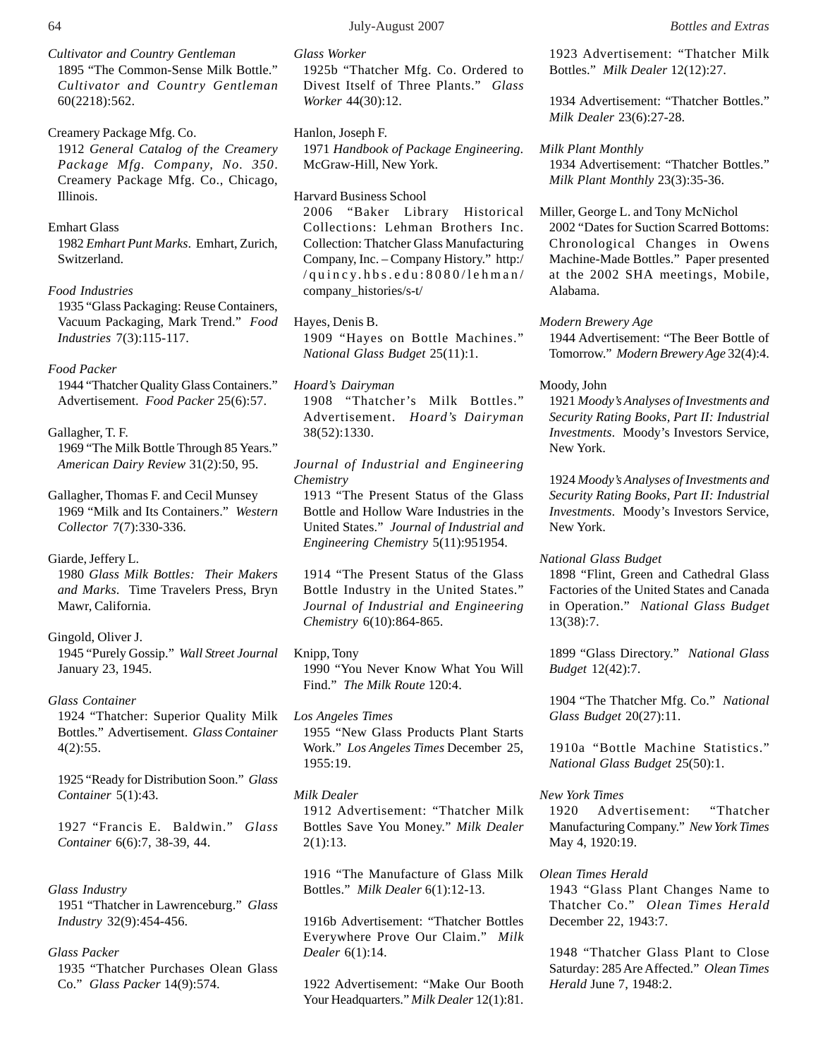*Cultivator and Country Gentleman* 1895 "The Common-Sense Milk Bottle." *Cultivator and Country Gentleman* 60(2218):562.

Creamery Package Mfg. Co. 1912 *General Catalog of the Creamery Package Mfg. Company, No. 350*. Creamery Package Mfg. Co., Chicago, Illinois.

#### Emhart Glass

1982 *Emhart Punt Marks*. Emhart, Zurich, Switzerland.

## *Food Industries*

1935 "Glass Packaging: Reuse Containers, Vacuum Packaging, Mark Trend." *Food Industries* 7(3):115-117.

#### *Food Packer*

1944 "Thatcher Quality Glass Containers." Advertisement. *Food Packer* 25(6):57.

#### Gallagher, T. F.

1969 "The Milk Bottle Through 85 Years." *American Dairy Review* 31(2):50, 95.

Gallagher, Thomas F. and Cecil Munsey 1969 "Milk and Its Containers." *Western Collector* 7(7):330-336.

#### Giarde, Jeffery L.

1980 *Glass Milk Bottles: Their Makers and Marks*. Time Travelers Press, Bryn Mawr, California.

#### Gingold, Oliver J.

1945 "Purely Gossip." *Wall Street Journal* January 23, 1945.

#### *Glass Container*

1924 "Thatcher: Superior Quality Milk Bottles." Advertisement. *Glass Container* 4(2):55.

1925 "Ready for Distribution Soon." *Glass Container* 5(1):43.

1927 "Francis E. Baldwin." *Glass Container* 6(6):7, 38-39, 44.

# *Glass Industry* 1951 "Thatcher in Lawrenceburg." *Glass*

*Industry* 32(9):454-456.

# *Glass Packer*

1935 "Thatcher Purchases Olean Glass Co." *Glass Packer* 14(9):574.

*Glass Worker*

1925b "Thatcher Mfg. Co. Ordered to Divest Itself of Three Plants." *Glass Worker* 44(30):12.

Hanlon, Joseph F. 1971 *Handbook of Package Engineering*. McGraw-Hill, New York.

Harvard Business School 2006 "Baker Library Historical Collections: Lehman Brothers Inc. Collection: Thatcher Glass Manufacturing Company, Inc. – Company History." http:/ /quincy.hbs.edu:8080/lehman/ company\_histories/s-t/

Hayes, Denis B. 1909 "Hayes on Bottle Machines." *National Glass Budget* 25(11):1.

*Hoard's Dairyman* 1908 "Thatcher's Milk Bottles." Advertisement. *Hoard's Dairyman* 38(52):1330.

*Journal of Industrial and Engineering Chemistry*

1913 "The Present Status of the Glass Bottle and Hollow Ware Industries in the United States." *Journal of Industrial and Engineering Chemistry* 5(11):951954.

1914 "The Present Status of the Glass Bottle Industry in the United States." *Journal of Industrial and Engineering Chemistry* 6(10):864-865.

Knipp, Tony 1990 "You Never Know What You Will Find." *The Milk Route* 120:4.

*Los Angeles Times* 1955 "New Glass Products Plant Starts Work." *Los Angeles Times* December 25, 1955:19.

#### *Milk Dealer*

1912 Advertisement: "Thatcher Milk Bottles Save You Money." *Milk Dealer* 2(1):13.

1916 "The Manufacture of Glass Milk Bottles." *Milk Dealer* 6(1):12-13.

1916b Advertisement: "Thatcher Bottles Everywhere Prove Our Claim." *Milk Dealer* 6(1):14.

1922 Advertisement: "Make Our Booth Your Headquarters." *Milk Dealer* 12(1):81. 1923 Advertisement: "Thatcher Milk Bottles." *Milk Dealer* 12(12):27.

1934 Advertisement: "Thatcher Bottles." *Milk Dealer* 23(6):27-28.

*Milk Plant Monthly* 1934 Advertisement: "Thatcher Bottles." *Milk Plant Monthly* 23(3):35-36.

Miller, George L. and Tony McNichol 2002 "Dates for Suction Scarred Bottoms: Chronological Changes in Owens Machine-Made Bottles." Paper presented at the 2002 SHA meetings, Mobile, Alabama.

#### *Modern Brewery Age*

1944 Advertisement: "The Beer Bottle of Tomorrow." *Modern Brewery Age* 32(4):4.

#### Moody, John

1921 *Moody's Analyses of Investments and Security Rating Books, Part II: Industrial Investments*. Moody's Investors Service, New York.

1924 *Moody's Analyses of Investments and Security Rating Books, Part II: Industrial Investments*. Moody's Investors Service, New York.

#### *National Glass Budget*

1898 "Flint, Green and Cathedral Glass Factories of the United States and Canada in Operation." *National Glass Budget* 13(38):7.

1899 "Glass Directory." *National Glass Budget* 12(42):7.

1904 "The Thatcher Mfg. Co." *National Glass Budget* 20(27):11.

1910a "Bottle Machine Statistics." *National Glass Budget* 25(50):1.

# *New York Times*

1920 Advertisement: "Thatcher Manufacturing Company." *New York Times* May 4, 1920:19.

#### *Olean Times Herald*

1943 "Glass Plant Changes Name to Thatcher Co." *Olean Times Herald* December 22, 1943:7.

1948 "Thatcher Glass Plant to Close Saturday: 285 Are Affected." *Olean Times Herald* June 7, 1948:2.